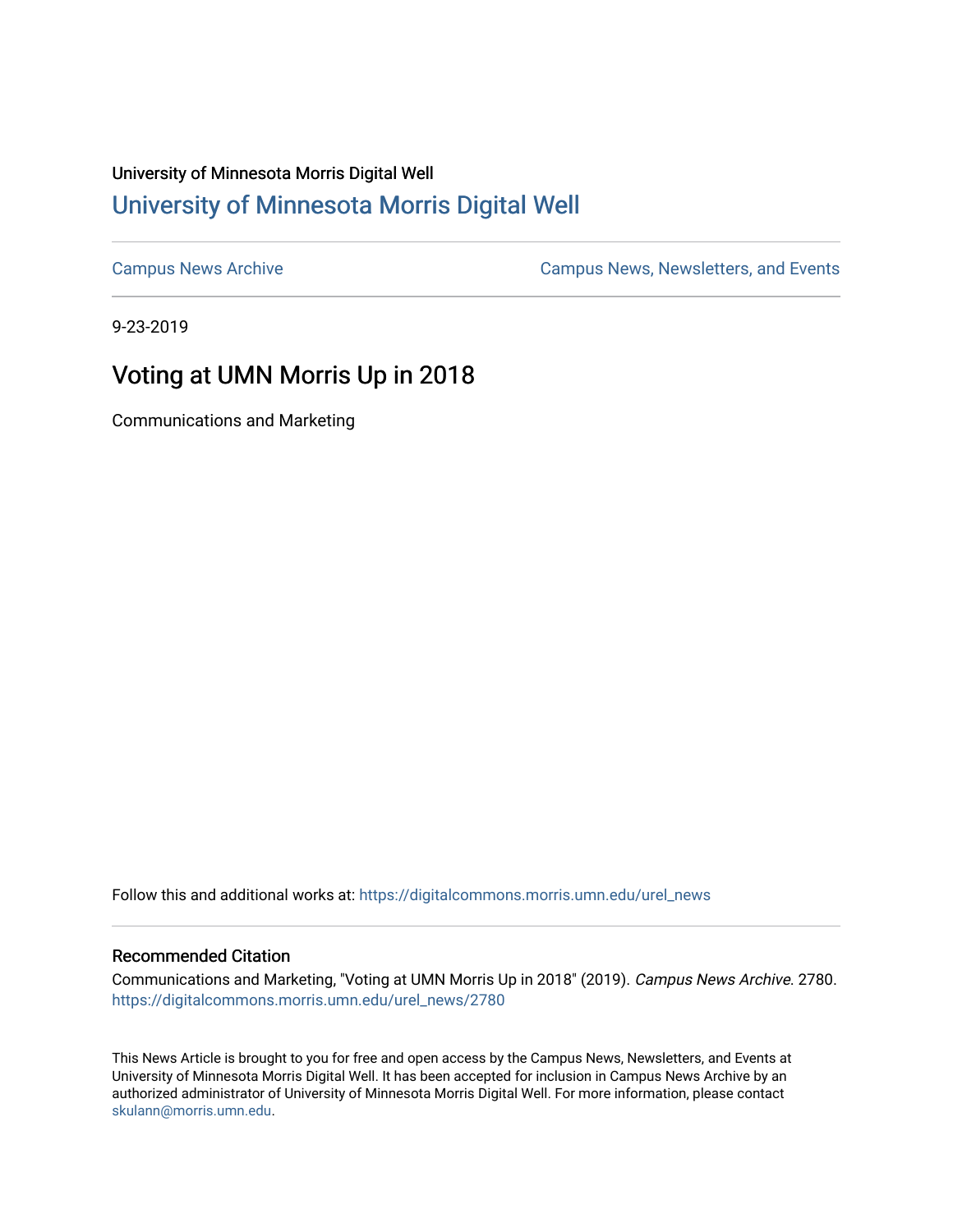## University of Minnesota Morris Digital Well [University of Minnesota Morris Digital Well](https://digitalcommons.morris.umn.edu/)

[Campus News Archive](https://digitalcommons.morris.umn.edu/urel_news) [Campus News, Newsletters, and Events](https://digitalcommons.morris.umn.edu/externalrel) 

9-23-2019

# Voting at UMN Morris Up in 2018

Communications and Marketing

Follow this and additional works at: [https://digitalcommons.morris.umn.edu/urel\\_news](https://digitalcommons.morris.umn.edu/urel_news?utm_source=digitalcommons.morris.umn.edu%2Furel_news%2F2780&utm_medium=PDF&utm_campaign=PDFCoverPages) 

#### Recommended Citation

Communications and Marketing, "Voting at UMN Morris Up in 2018" (2019). Campus News Archive. 2780. [https://digitalcommons.morris.umn.edu/urel\\_news/2780](https://digitalcommons.morris.umn.edu/urel_news/2780?utm_source=digitalcommons.morris.umn.edu%2Furel_news%2F2780&utm_medium=PDF&utm_campaign=PDFCoverPages) 

This News Article is brought to you for free and open access by the Campus News, Newsletters, and Events at University of Minnesota Morris Digital Well. It has been accepted for inclusion in Campus News Archive by an authorized administrator of University of Minnesota Morris Digital Well. For more information, please contact [skulann@morris.umn.edu.](mailto:skulann@morris.umn.edu)